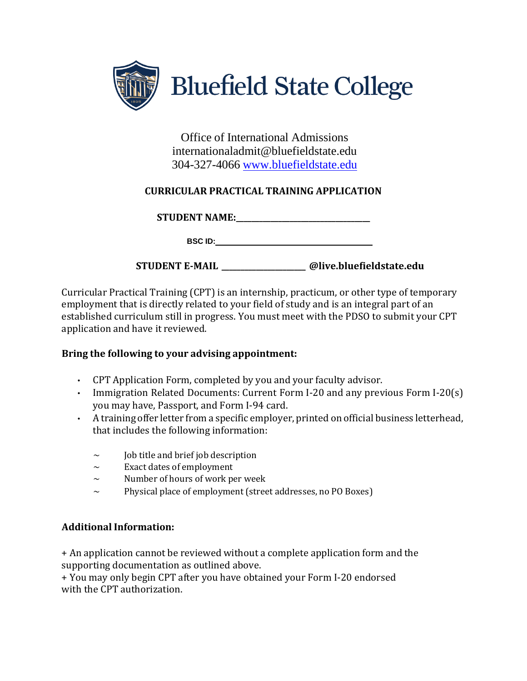

Office of International Admissions internationaladmit@bluefieldstate.edu 304-327-4066 [www.bluefieldstate.edu](http://www.bluefieldstate.edu/)

## **CURRICULAR PRACTICAL TRAINING APPLICATION**

**STUDENT NAME:** 

**BSC ID:**

**STUDENT E-MAIL \_\_\_\_\_\_\_\_\_\_\_\_\_\_\_\_\_\_\_\_\_\_ @live.bluefieldstate.edu**

Curricular Practical Training (CPT) is an internship, practicum, or other type of temporary employment that is directly related to your field of study and is an integral part of an established curriculum still in progress. You must meet with the PDSO to submit your CPT application and have it reviewed.

## **Bring the following to your advising appointment:**

- CPT Application Form, completed by you and your faculty advisor.
- Immigration Related Documents: Current Form I-20 and any previous Form I-20(s) you may have, Passport, and Form I-94 card.
- A training offer letter from a specific employer, printed on official business letterhead, that includes the following information:
	- $\sim$  Job title and brief job description
	- $\sim$  Exact dates of employment
	- $\sim$  Number of hours of work per week
	- ~ Physical place of employment (street addresses, no PO Boxes)

## **Additional Information:**

+ An application cannot be reviewed without a complete application form and the supporting documentation as outlined above.

+ You may only begin CPT after you have obtained your Form I-20 endorsed with the CPT authorization.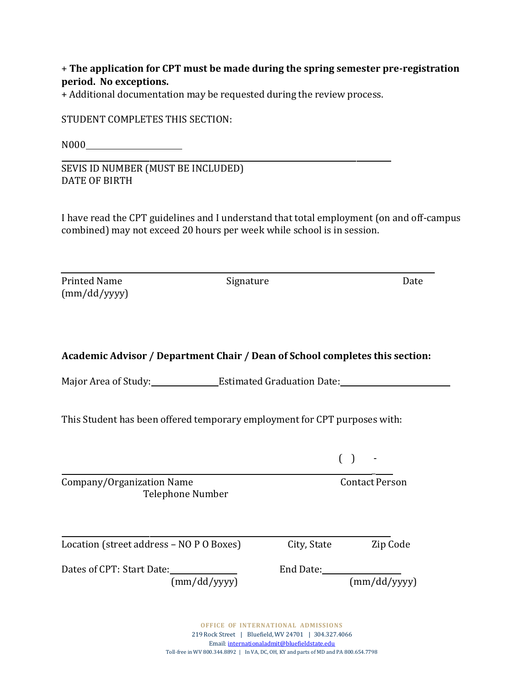+ **The application for CPT must be made during the spring semester pre-registration period. No exceptions.**

+ Additional documentation may be requested during the review process.

STUDENT COMPLETES THIS SECTION:

N000

SEVIS ID NUMBER (MUST BE INCLUDED) DATE OF BIRTH

I have read the CPT guidelines and I understand that total employment (on and off-campus combined) may not exceed 20 hours per week while school is in session.

Printed Name Signature Signature Date (mm/dd/yyyy)

## **Academic Advisor / Department Chair / Dean of School completes this section:**

Major Area of Study: Estimated Graduation Date:

This Student has been offered temporary employment for CPT purposes with:

| Company/Organization Name<br>Telephone Number | <b>Contact Person</b> |  |              |
|-----------------------------------------------|-----------------------|--|--------------|
| Location (street address – NO P O Boxes)      | City, State           |  | Zip Code     |
| Dates of CPT: Start Date:<br>(mm/dd/yyyy)     | End Date:             |  | (mm/dd/yyyy) |